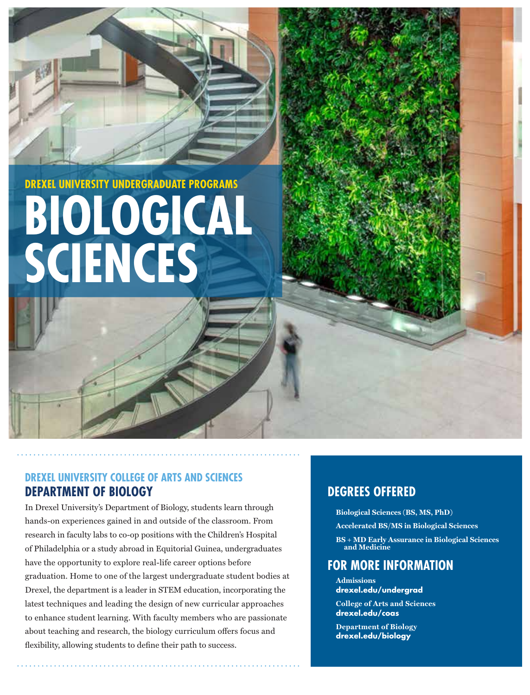**BIOLOGICAL SCIENCES DREXEL UNIVERSITY UNDERGRADUATE PROGRAMS**

# **DREXEL UNIVERSITY COLLEGE OF ARTS AND SCIENCES DEPARTMENT OF BIOLOGY**

In Drexel University's Department of Biology, students learn through hands-on experiences gained in and outside of the classroom. From research in faculty labs to co-op positions with the Children's Hospital of Philadelphia or a study abroad in Equitorial Guinea, undergraduates have the opportunity to explore real-life career options before graduation. Home to one of the largest undergraduate student bodies at Drexel, the department is a leader in STEM education, incorporating the latest techniques and leading the design of new curricular approaches to enhance student learning. With faculty members who are passionate about teaching and research, the biology curriculum offers focus and flexibility, allowing students to define their path to success.

# **DEGREES OFFERED**

- $\text{Biological Sciences}$  (BS, MS, PhD)
- Accelerated BS/MS in Biological Sciences
- $\mathbf{BS}+\mathbf{MD}$  Early Assurance in Biological Sciences **z** and Medicine

# **FOR MORE INFORMATION**

- **Admissions drexel.edu/undergrad**
- **College of Arts and Sciences drexel.edu/coas**
- **Department of Biology drexel.edu/biology**